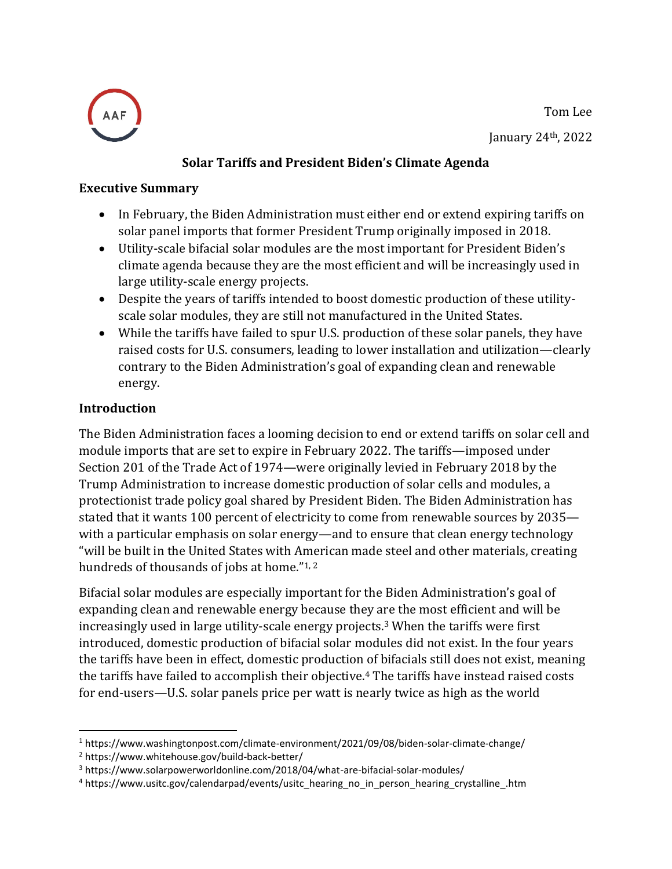



#### **Solar Tariffs and President Biden's Climate Agenda**

#### **Executive Summary**

- In February, the Biden Administration must either end or extend expiring tariffs on solar panel imports that former President Trump originally imposed in 2018.
- Utility-scale bifacial solar modules are the most important for President Biden's climate agenda because they are the most efficient and will be increasingly used in large utility-scale energy projects.
- Despite the years of tariffs intended to boost domestic production of these utilityscale solar modules, they are still not manufactured in the United States.
- While the tariffs have failed to spur U.S. production of these solar panels, they have raised costs for U.S. consumers, leading to lower installation and utilization—clearly contrary to the Biden Administration's goal of expanding clean and renewable energy.

#### **Introduction**

The Biden Administration faces a looming decision to end or extend tariffs on solar cell and module imports that are set to expire in February 2022. The tariffs—imposed under Section 201 of the Trade Act of 1974—were originally levied in February 2018 by the Trump Administration to increase domestic production of solar cells and modules, a protectionist trade policy goal shared by President Biden. The Biden Administration has stated that it wants 100 percent of electricity to come from renewable sources by 2035 with a particular emphasis on solar energy—and to ensure that clean energy technology "will be built in the United States with American made steel and other materials, creating hundreds of thousands of jobs at home."<sup>1,2</sup>

Bifacial solar modules are especially important for the Biden Administration's goal of expanding clean and renewable energy because they are the most efficient and will be increasingly used in large utility-scale energy projects. <sup>3</sup> When the tariffs were first introduced, domestic production of bifacial solar modules did not exist. In the four years the tariffs have been in effect, domestic production of bifacials still does not exist, meaning the tariffs have failed to accomplish their objective. <sup>4</sup> The tariffs have instead raised costs for end-users—U.S. solar panels price per watt is nearly twice as high as the world

<sup>1</sup> https://www.washingtonpost.com/climate-environment/2021/09/08/biden-solar-climate-change/

<sup>2</sup> https://www.whitehouse.gov/build-back-better/

<sup>3</sup> https://www.solarpowerworldonline.com/2018/04/what-are-bifacial-solar-modules/

<sup>4</sup> https://www.usitc.gov/calendarpad/events/usitc\_hearing\_no\_in\_person\_hearing\_crystalline\_.htm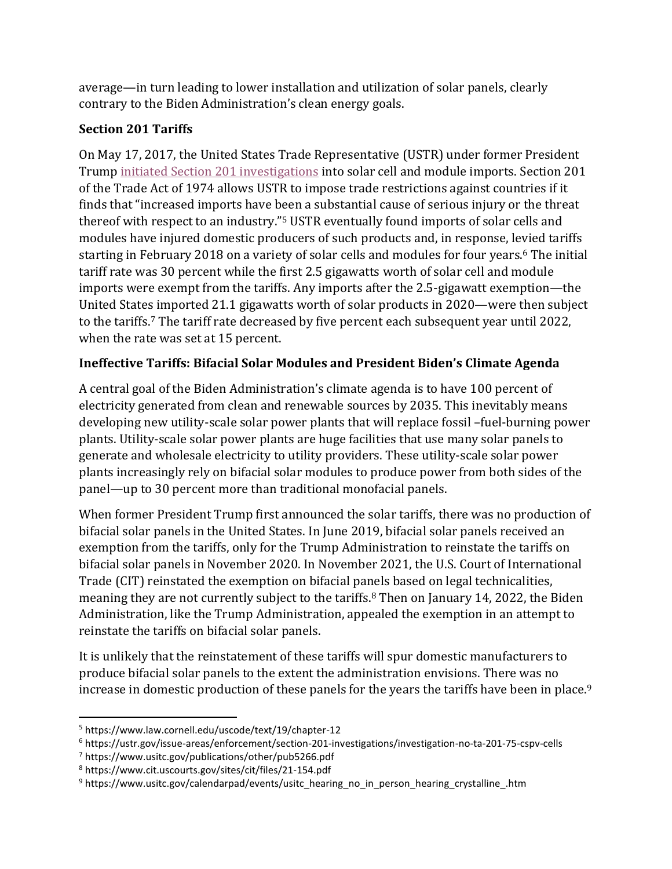average—in turn leading to lower installation and utilization of solar panels, clearly contrary to the Biden Administration's clean energy goals.

## **Section 201 Tariffs**

On May 17, 2017, the United States Trade Representative (USTR) under former President Trump [initiated Section 201 investigations](https://www.americanactionforum.org/research/the-impact-of-tariffs-on-utility-scale-solar/#_ftn1) into solar cell and module imports. Section 201 of the Trade Act of 1974 allows USTR to impose trade restrictions against countries if it finds that "increased imports have been a substantial cause of serious injury or the threat thereof with respect to an industry."<sup>5</sup> USTR eventually found imports of solar cells and modules have injured domestic producers of such products and, in response, levied tariffs starting in February 2018 on a variety of solar cells and modules for four years.<sup>6</sup> The initial tariff rate was 30 percent while the first 2.5 gigawatts worth of solar cell and module imports were exempt from the tariffs. Any imports after the 2.5-gigawatt exemption—the United States imported 21.1 gigawatts worth of solar products in 2020—were then subject to the tariffs.<sup>7</sup> The tariff rate decreased by five percent each subsequent year until 2022, when the rate was set at 15 percent.

# **Ineffective Tariffs: Bifacial Solar Modules and President Biden's Climate Agenda**

A central goal of the Biden Administration's climate agenda is to have 100 percent of electricity generated from clean and renewable sources by 2035. This inevitably means developing new utility-scale solar power plants that will replace fossil –fuel-burning power plants. Utility-scale solar power plants are huge facilities that use many solar panels to generate and wholesale electricity to utility providers. These utility-scale solar power plants increasingly rely on bifacial solar modules to produce power from both sides of the panel—up to 30 percent more than traditional monofacial panels.

When former President Trump first announced the solar tariffs, there was no production of bifacial solar panels in the United States. In June 2019, bifacial solar panels received an exemption from the tariffs, only for the Trump Administration to reinstate the tariffs on bifacial solar panels in November 2020. In November 2021, the U.S. Court of International Trade (CIT) reinstated the exemption on bifacial panels based on legal technicalities, meaning they are not currently subject to the tariffs.<sup>8</sup> Then on January 14, 2022, the Biden Administration, like the Trump Administration, appealed the exemption in an attempt to reinstate the tariffs on bifacial solar panels.

It is unlikely that the reinstatement of these tariffs will spur domestic manufacturers to produce bifacial solar panels to the extent the administration envisions. There was no increase in domestic production of these panels for the years the tariffs have been in place. 9

<sup>5</sup> https://www.law.cornell.edu/uscode/text/19/chapter-12

<sup>6</sup> https://ustr.gov/issue-areas/enforcement/section-201-investigations/investigation-no-ta-201-75-cspv-cells

<sup>7</sup> https://www.usitc.gov/publications/other/pub5266.pdf

<sup>8</sup> https://www.cit.uscourts.gov/sites/cit/files/21-154.pdf

<sup>9</sup> https://www.usitc.gov/calendarpad/events/usitc\_hearing\_no\_in\_person\_hearing\_crystalline\_.htm